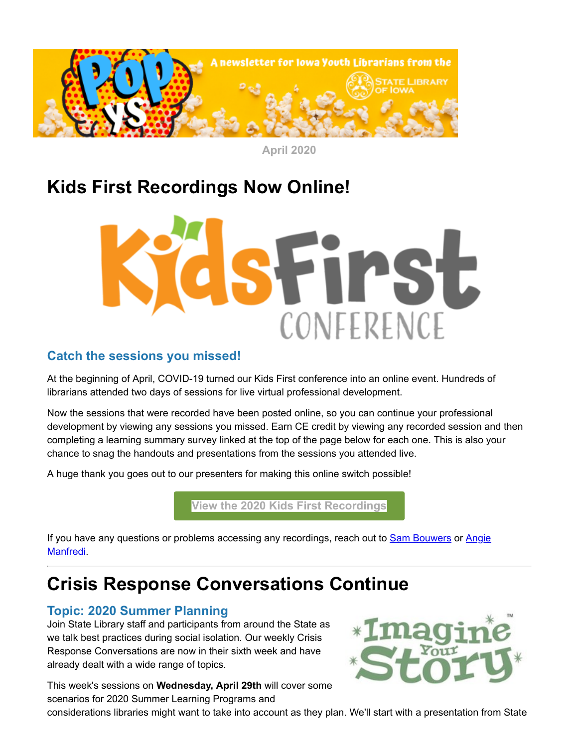

**April 2020**

# **Kids First Recordings Now Online!**



#### **Catch the sessions you missed!**

At the beginning of April, COVID-19 turned our Kids First conference into an online event. Hundreds of librarians attended two days of sessions for live virtual professional development.

Now the sessions that were recorded have been posted online, so you can continue your professional development by viewing any sessions you missed. Earn CE credit by viewing any recorded session and then completing a learning summary survey linked at the top of the page below for each one. This is also your chance to snag the handouts and presentations from the sessions you attended live.

A huge thank you goes out to our presenters for making this online switch possible!

**[View the 2020 Kids First Recordings](https://www.statelibraryofiowa.org/ld/t-z/youthservices/kidsfirst%202011/2020/schedule/index?utm_medium=email&utm_source=govdelivery)**

[If you have any questions or problems accessing any recordings, reach out to](https://mail.google.com/mail/?fs=1&tf=1&to=angie.manfredi%40iowa.gov&utm_medium=email&utm_source=govdelivery&view=cm) **[Sam Bouwers](https://mail.google.com/mail/?fs=1&tf=1&to=samantha.bouwers%40iowa.gov&utm_medium=email&utm_source=govdelivery&view=cm) or Angie** Manfredi.

## **Crisis Response Conversations Continue**

### **Topic: 2020 Summer Planning**

Join State Library staff and participants from around the State as we talk best practices during social isolation. Our weekly Crisis Response Conversations are now in their sixth week and have already dealt with a wide range of topics.

This week's sessions on **Wednesday, April 29th** will cover some scenarios for 2020 Summer Learning Programs and



considerations libraries might want to take into account as they plan. We'll start with a presentation from State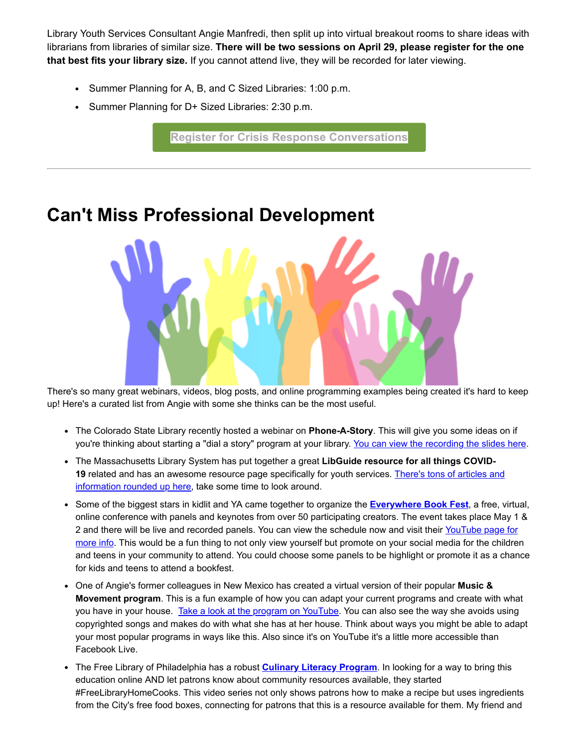Library Youth Services Consultant Angie Manfredi, then split up into virtual breakout rooms to share ideas with librarians from libraries of similar size. **There will be two sessions on April 29, please register for the one that best fits your library size.** If you cannot attend live, they will be recorded for later viewing.

- Summer Planning for A, B, and C Sized Libraries: 1:00 p.m.
- Summer Planning for D+ Sized Libraries: 2:30 p.m.

**[Register for Crisis Response Conversations](https://statelibraryofiowa.lmscheckout.com/Course/index?utm_medium=email&utm_source=govdelivery)**

There's so many great webinars, videos, blog posts, and online programming examples being created it's hard to keep up! Here's a curated list from Angie with some she thinks can be the most useful.

- The Colorado State Library recently hosted a webinar on **Phone-A-Story**. This will give you some ideas on if you're thinking about starting a "dial a story" program at your library. [You can view the recording the slides here.](https://www.coloradovirtuallibrary.org/csl-news/ring-ring-webinar-calling-phone-a-story-simple-fun-one-call-away/?utm_medium=email&utm_source=govdelivery)
- The Massachusetts Library System has put together a great **LibGuide resource for all things COVID-19** [related and has an awesome resource page specifically for youth services.](https://guides.masslibsystem.org/COVID19/Youth?utm_medium=email&utm_source=govdelivery) There's tons of articles and information rounded up here, take some time to look around.
- Some of the biggest stars in kidlit and YA came together to organize the **[Everywhere Book Fest](https://everywherebookfest.com/?utm_medium=email&utm_source=govdelivery)**, a free, virtual, online conference with panels and keynotes from over 50 participating creators. The event takes place May 1 & 2 and there will be live and recorded panels. You can view the schedule now and visit their YouTube page for [more info. This would be a fun thing to not only view yourself but promote on your social media for the childre](https://www.youtube.com/channel/UCowhHSUaWp3KJDcuI0nR0vw?utm_medium=email&utm_source=govdelivery)n and teens in your community to attend. You could choose some panels to be highlight or promote it as a chance for kids and teens to attend a bookfest.
- One of Angie's former colleagues in New Mexico has created a virtual version of their popular **Music & Movement program**. This is a fun example of how you can adapt your current programs and create with what you have in your house. [Take a look at the program on YouTube.](https://www.youtube.com/watch?utm_medium=email&utm_source=govdelivery&v=GqjNIYqXsiM) You can also see the way she avoids using copyrighted songs and makes do with what she has at her house. Think about ways you might be able to adapt your most popular programs in ways like this. Also since it's on YouTube it's a little more accessible than Facebook Live.
- The Free Library of Philadelphia has a robust **[Culinary Literacy Program](https://libwww.freelibrary.org/programs/culinary/index.cfm?utm_medium=email&utm_source=govdelivery)**. In looking for a way to bring this education online AND let patrons know about community resources available, they started #FreeLibraryHomeCooks. This video series not only shows patrons how to make a recipe but uses ingredients from the City's free food boxes, connecting for patrons that this is a resource available for them. My friend and

# **Can't Miss Professional Development**